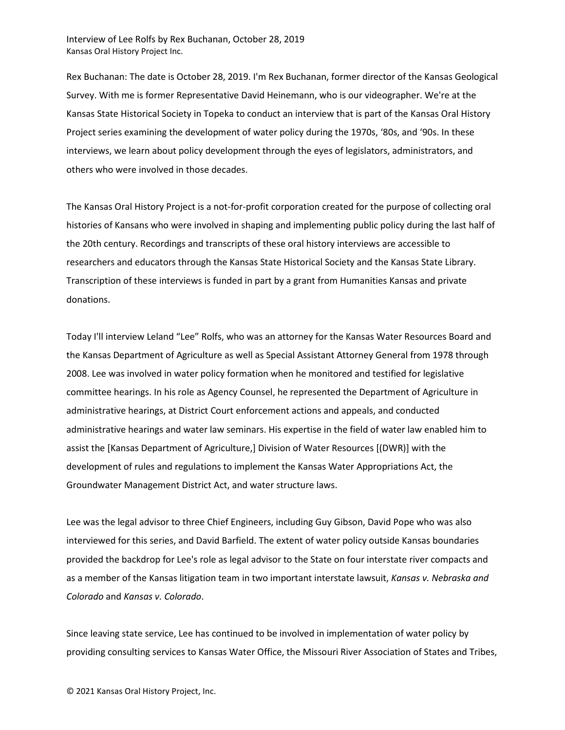Interview of Lee Rolfs by Rex Buchanan, October 28, 2019 Kansas Oral History Project Inc.

Rex Buchanan: The date is October 28, 2019. I'm Rex Buchanan, former director of the Kansas Geological Survey. With me is former Representative David Heinemann, who is our videographer. We're at the Kansas State Historical Society in Topeka to conduct an interview that is part of the Kansas Oral History Project series examining the development of water policy during the 1970s, '80s, and '90s. In these interviews, we learn about policy development through the eyes of legislators, administrators, and others who were involved in those decades.

The Kansas Oral History Project is a not-for-profit corporation created for the purpose of collecting oral histories of Kansans who were involved in shaping and implementing public policy during the last half of the 20th century. Recordings and transcripts of these oral history interviews are accessible to researchers and educators through the Kansas State Historical Society and the Kansas State Library. Transcription of these interviews is funded in part by a grant from Humanities Kansas and private donations.

Today I'll interview Leland "Lee" Rolfs, who was an attorney for the Kansas Water Resources Board and the Kansas Department of Agriculture as well as Special Assistant Attorney General from 1978 through 2008. Lee was involved in water policy formation when he monitored and testified for legislative committee hearings. In his role as Agency Counsel, he represented the Department of Agriculture in administrative hearings, at District Court enforcement actions and appeals, and conducted administrative hearings and water law seminars. His expertise in the field of water law enabled him to assist the [Kansas Department of Agriculture,] Division of Water Resources [(DWR)] with the development of rules and regulations to implement the Kansas Water Appropriations Act, the Groundwater Management District Act, and water structure laws.

Lee was the legal advisor to three Chief Engineers, including Guy Gibson, David Pope who was also interviewed for this series, and David Barfield. The extent of water policy outside Kansas boundaries provided the backdrop for Lee's role as legal advisor to the State on four interstate river compacts and as a member of the Kansas litigation team in two important interstate lawsuit, *Kansas v. Nebraska and Colorado* and *Kansas v. Colorado*.

Since leaving state service, Lee has continued to be involved in implementation of water policy by providing consulting services to Kansas Water Office, the Missouri River Association of States and Tribes,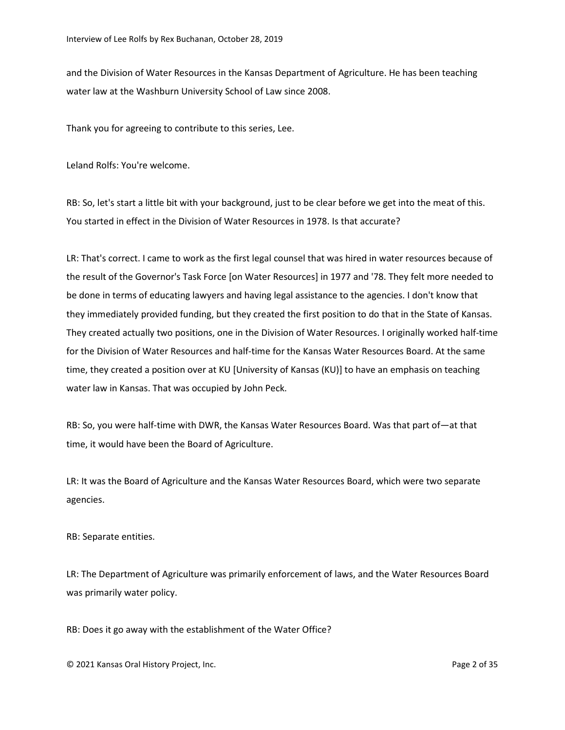and the Division of Water Resources in the Kansas Department of Agriculture. He has been teaching water law at the Washburn University School of Law since 2008.

Thank you for agreeing to contribute to this series, Lee.

Leland Rolfs: You're welcome.

RB: So, let's start a little bit with your background, just to be clear before we get into the meat of this. You started in effect in the Division of Water Resources in 1978. Is that accurate?

LR: That's correct. I came to work as the first legal counsel that was hired in water resources because of the result of the Governor's Task Force [on Water Resources] in 1977 and '78. They felt more needed to be done in terms of educating lawyers and having legal assistance to the agencies. I don't know that they immediately provided funding, but they created the first position to do that in the State of Kansas. They created actually two positions, one in the Division of Water Resources. I originally worked half-time for the Division of Water Resources and half-time for the Kansas Water Resources Board. At the same time, they created a position over at KU [University of Kansas (KU)] to have an emphasis on teaching water law in Kansas. That was occupied by John Peck.

RB: So, you were half-time with DWR, the Kansas Water Resources Board. Was that part of—at that time, it would have been the Board of Agriculture.

LR: It was the Board of Agriculture and the Kansas Water Resources Board, which were two separate agencies.

RB: Separate entities.

LR: The Department of Agriculture was primarily enforcement of laws, and the Water Resources Board was primarily water policy.

RB: Does it go away with the establishment of the Water Office?

© 2021 Kansas Oral History Project, Inc. Page 2 of 35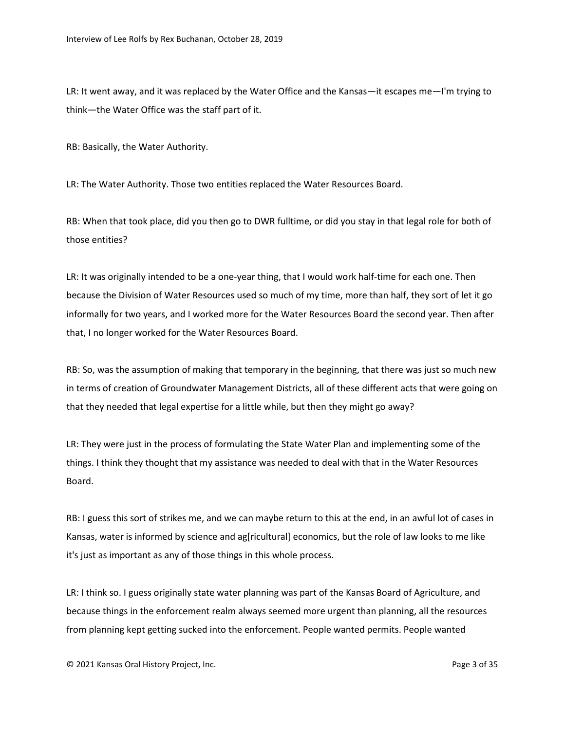LR: It went away, and it was replaced by the Water Office and the Kansas—it escapes me—I'm trying to think—the Water Office was the staff part of it.

RB: Basically, the Water Authority.

LR: The Water Authority. Those two entities replaced the Water Resources Board.

RB: When that took place, did you then go to DWR fulltime, or did you stay in that legal role for both of those entities?

LR: It was originally intended to be a one-year thing, that I would work half-time for each one. Then because the Division of Water Resources used so much of my time, more than half, they sort of let it go informally for two years, and I worked more for the Water Resources Board the second year. Then after that, I no longer worked for the Water Resources Board.

RB: So, was the assumption of making that temporary in the beginning, that there was just so much new in terms of creation of Groundwater Management Districts, all of these different acts that were going on that they needed that legal expertise for a little while, but then they might go away?

LR: They were just in the process of formulating the State Water Plan and implementing some of the things. I think they thought that my assistance was needed to deal with that in the Water Resources Board.

RB: I guess this sort of strikes me, and we can maybe return to this at the end, in an awful lot of cases in Kansas, water is informed by science and ag[ricultural] economics, but the role of law looks to me like it's just as important as any of those things in this whole process.

LR: I think so. I guess originally state water planning was part of the Kansas Board of Agriculture, and because things in the enforcement realm always seemed more urgent than planning, all the resources from planning kept getting sucked into the enforcement. People wanted permits. People wanted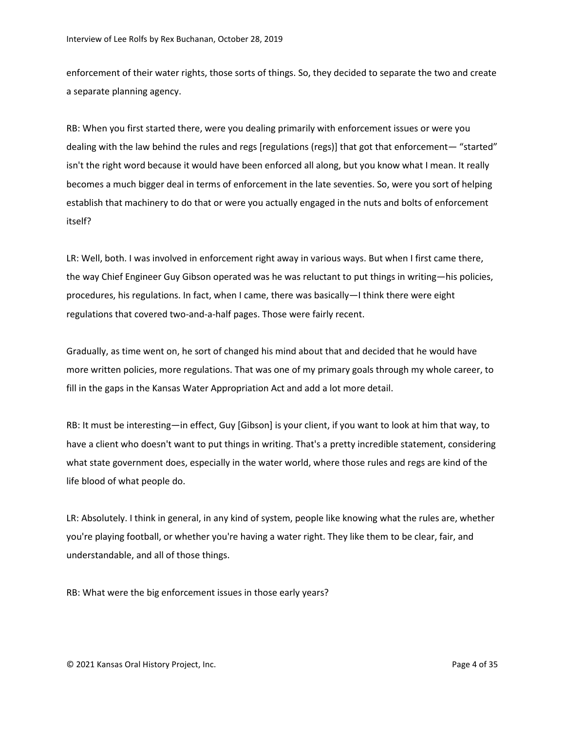enforcement of their water rights, those sorts of things. So, they decided to separate the two and create a separate planning agency.

RB: When you first started there, were you dealing primarily with enforcement issues or were you dealing with the law behind the rules and regs [regulations (regs)] that got that enforcement— "started" isn't the right word because it would have been enforced all along, but you know what I mean. It really becomes a much bigger deal in terms of enforcement in the late seventies. So, were you sort of helping establish that machinery to do that or were you actually engaged in the nuts and bolts of enforcement itself?

LR: Well, both. I was involved in enforcement right away in various ways. But when I first came there, the way Chief Engineer Guy Gibson operated was he was reluctant to put things in writing—his policies, procedures, his regulations. In fact, when I came, there was basically—I think there were eight regulations that covered two-and-a-half pages. Those were fairly recent.

Gradually, as time went on, he sort of changed his mind about that and decided that he would have more written policies, more regulations. That was one of my primary goals through my whole career, to fill in the gaps in the Kansas Water Appropriation Act and add a lot more detail.

RB: It must be interesting—in effect, Guy [Gibson] is your client, if you want to look at him that way, to have a client who doesn't want to put things in writing. That's a pretty incredible statement, considering what state government does, especially in the water world, where those rules and regs are kind of the life blood of what people do.

LR: Absolutely. I think in general, in any kind of system, people like knowing what the rules are, whether you're playing football, or whether you're having a water right. They like them to be clear, fair, and understandable, and all of those things.

RB: What were the big enforcement issues in those early years?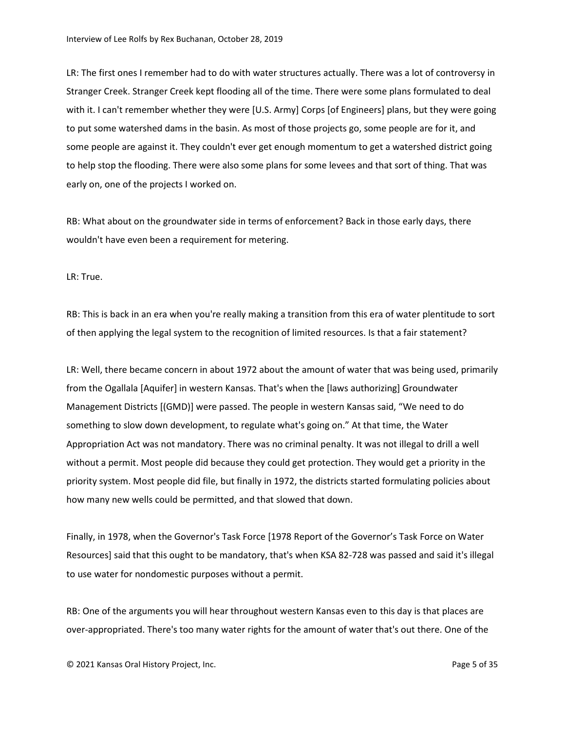LR: The first ones I remember had to do with water structures actually. There was a lot of controversy in Stranger Creek. Stranger Creek kept flooding all of the time. There were some plans formulated to deal with it. I can't remember whether they were [U.S. Army] Corps [of Engineers] plans, but they were going to put some watershed dams in the basin. As most of those projects go, some people are for it, and some people are against it. They couldn't ever get enough momentum to get a watershed district going to help stop the flooding. There were also some plans for some levees and that sort of thing. That was early on, one of the projects I worked on.

RB: What about on the groundwater side in terms of enforcement? Back in those early days, there wouldn't have even been a requirement for metering.

LR: True.

RB: This is back in an era when you're really making a transition from this era of water plentitude to sort of then applying the legal system to the recognition of limited resources. Is that a fair statement?

LR: Well, there became concern in about 1972 about the amount of water that was being used, primarily from the Ogallala [Aquifer] in western Kansas. That's when the [laws authorizing] Groundwater Management Districts [(GMD)] were passed. The people in western Kansas said, "We need to do something to slow down development, to regulate what's going on." At that time, the Water Appropriation Act was not mandatory. There was no criminal penalty. It was not illegal to drill a well without a permit. Most people did because they could get protection. They would get a priority in the priority system. Most people did file, but finally in 1972, the districts started formulating policies about how many new wells could be permitted, and that slowed that down.

Finally, in 1978, when the Governor's Task Force [1978 Report of the Governor's Task Force on Water Resources] said that this ought to be mandatory, that's when KSA 82-728 was passed and said it's illegal to use water for nondomestic purposes without a permit.

RB: One of the arguments you will hear throughout western Kansas even to this day is that places are over-appropriated. There's too many water rights for the amount of water that's out there. One of the

© 2021 Kansas Oral History Project, Inc. Page 5 of 35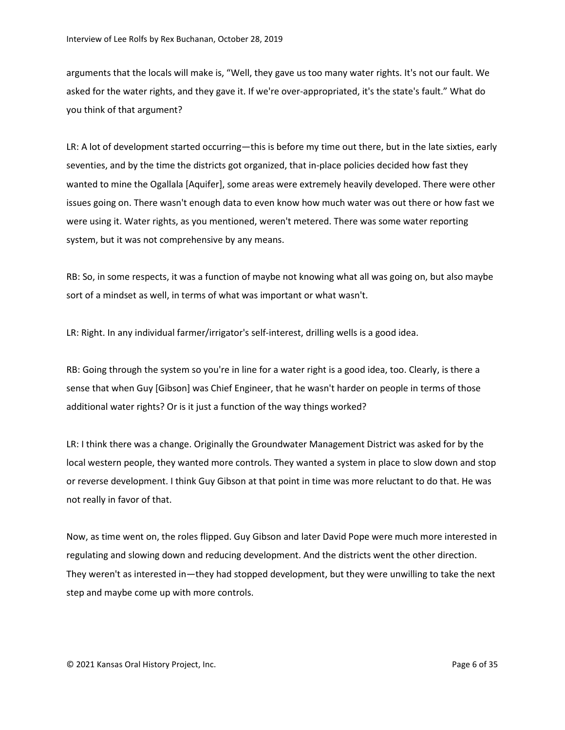arguments that the locals will make is, "Well, they gave us too many water rights. It's not our fault. We asked for the water rights, and they gave it. If we're over-appropriated, it's the state's fault." What do you think of that argument?

LR: A lot of development started occurring—this is before my time out there, but in the late sixties, early seventies, and by the time the districts got organized, that in-place policies decided how fast they wanted to mine the Ogallala [Aquifer], some areas were extremely heavily developed. There were other issues going on. There wasn't enough data to even know how much water was out there or how fast we were using it. Water rights, as you mentioned, weren't metered. There was some water reporting system, but it was not comprehensive by any means.

RB: So, in some respects, it was a function of maybe not knowing what all was going on, but also maybe sort of a mindset as well, in terms of what was important or what wasn't.

LR: Right. In any individual farmer/irrigator's self-interest, drilling wells is a good idea.

RB: Going through the system so you're in line for a water right is a good idea, too. Clearly, is there a sense that when Guy [Gibson] was Chief Engineer, that he wasn't harder on people in terms of those additional water rights? Or is it just a function of the way things worked?

LR: I think there was a change. Originally the Groundwater Management District was asked for by the local western people, they wanted more controls. They wanted a system in place to slow down and stop or reverse development. I think Guy Gibson at that point in time was more reluctant to do that. He was not really in favor of that.

Now, as time went on, the roles flipped. Guy Gibson and later David Pope were much more interested in regulating and slowing down and reducing development. And the districts went the other direction. They weren't as interested in—they had stopped development, but they were unwilling to take the next step and maybe come up with more controls.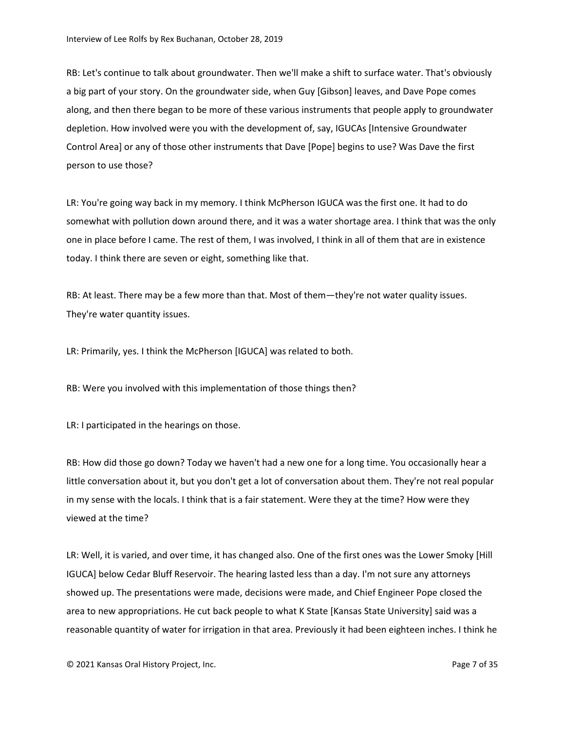RB: Let's continue to talk about groundwater. Then we'll make a shift to surface water. That's obviously a big part of your story. On the groundwater side, when Guy [Gibson] leaves, and Dave Pope comes along, and then there began to be more of these various instruments that people apply to groundwater depletion. How involved were you with the development of, say, IGUCAs [Intensive Groundwater Control Area] or any of those other instruments that Dave [Pope] begins to use? Was Dave the first person to use those?

LR: You're going way back in my memory. I think McPherson IGUCA was the first one. It had to do somewhat with pollution down around there, and it was a water shortage area. I think that was the only one in place before I came. The rest of them, I was involved, I think in all of them that are in existence today. I think there are seven or eight, something like that.

RB: At least. There may be a few more than that. Most of them—they're not water quality issues. They're water quantity issues.

LR: Primarily, yes. I think the McPherson [IGUCA] was related to both.

RB: Were you involved with this implementation of those things then?

LR: I participated in the hearings on those.

RB: How did those go down? Today we haven't had a new one for a long time. You occasionally hear a little conversation about it, but you don't get a lot of conversation about them. They're not real popular in my sense with the locals. I think that is a fair statement. Were they at the time? How were they viewed at the time?

LR: Well, it is varied, and over time, it has changed also. One of the first ones was the Lower Smoky [Hill IGUCA] below Cedar Bluff Reservoir. The hearing lasted less than a day. I'm not sure any attorneys showed up. The presentations were made, decisions were made, and Chief Engineer Pope closed the area to new appropriations. He cut back people to what K State [Kansas State University] said was a reasonable quantity of water for irrigation in that area. Previously it had been eighteen inches. I think he

© 2021 Kansas Oral History Project, Inc. Page 7 of 35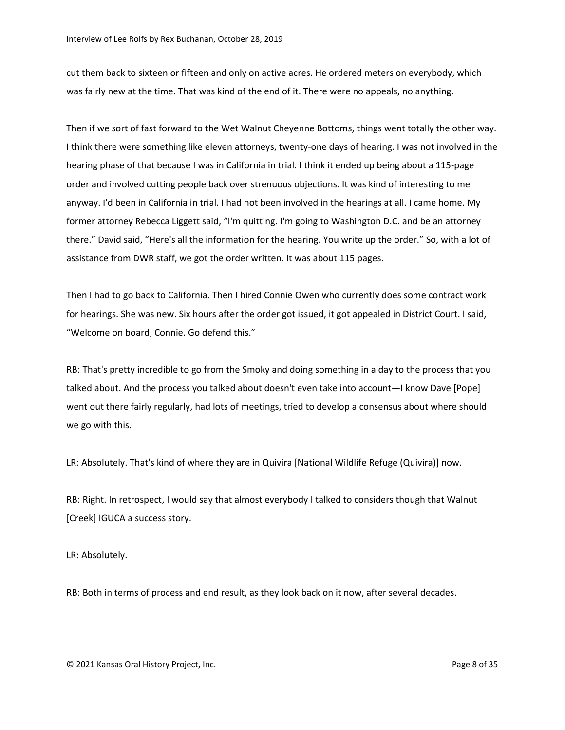cut them back to sixteen or fifteen and only on active acres. He ordered meters on everybody, which was fairly new at the time. That was kind of the end of it. There were no appeals, no anything.

Then if we sort of fast forward to the Wet Walnut Cheyenne Bottoms, things went totally the other way. I think there were something like eleven attorneys, twenty-one days of hearing. I was not involved in the hearing phase of that because I was in California in trial. I think it ended up being about a 115-page order and involved cutting people back over strenuous objections. It was kind of interesting to me anyway. I'd been in California in trial. I had not been involved in the hearings at all. I came home. My former attorney Rebecca Liggett said, "I'm quitting. I'm going to Washington D.C. and be an attorney there." David said, "Here's all the information for the hearing. You write up the order." So, with a lot of assistance from DWR staff, we got the order written. It was about 115 pages.

Then I had to go back to California. Then I hired Connie Owen who currently does some contract work for hearings. She was new. Six hours after the order got issued, it got appealed in District Court. I said, "Welcome on board, Connie. Go defend this."

RB: That's pretty incredible to go from the Smoky and doing something in a day to the process that you talked about. And the process you talked about doesn't even take into account—I know Dave [Pope] went out there fairly regularly, had lots of meetings, tried to develop a consensus about where should we go with this.

LR: Absolutely. That's kind of where they are in Quivira [National Wildlife Refuge (Quivira)] now.

RB: Right. In retrospect, I would say that almost everybody I talked to considers though that Walnut [Creek] IGUCA a success story.

LR: Absolutely.

RB: Both in terms of process and end result, as they look back on it now, after several decades.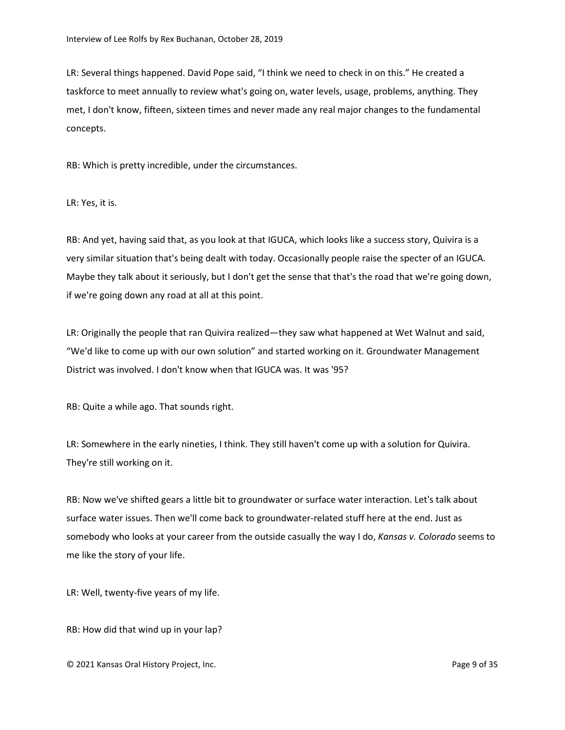LR: Several things happened. David Pope said, "I think we need to check in on this." He created a taskforce to meet annually to review what's going on, water levels, usage, problems, anything. They met, I don't know, fifteen, sixteen times and never made any real major changes to the fundamental concepts.

RB: Which is pretty incredible, under the circumstances.

LR: Yes, it is.

RB: And yet, having said that, as you look at that IGUCA, which looks like a success story, Quivira is a very similar situation that's being dealt with today. Occasionally people raise the specter of an IGUCA. Maybe they talk about it seriously, but I don't get the sense that that's the road that we're going down, if we're going down any road at all at this point.

LR: Originally the people that ran Quivira realized—they saw what happened at Wet Walnut and said, "We'd like to come up with our own solution" and started working on it. Groundwater Management District was involved. I don't know when that IGUCA was. It was '95?

RB: Quite a while ago. That sounds right.

LR: Somewhere in the early nineties, I think. They still haven't come up with a solution for Quivira. They're still working on it.

RB: Now we've shifted gears a little bit to groundwater or surface water interaction. Let's talk about surface water issues. Then we'll come back to groundwater-related stuff here at the end. Just as somebody who looks at your career from the outside casually the way I do, *Kansas v. Colorado* seems to me like the story of your life.

LR: Well, twenty-five years of my life.

RB: How did that wind up in your lap?

© 2021 Kansas Oral History Project, Inc. Page 9 of 35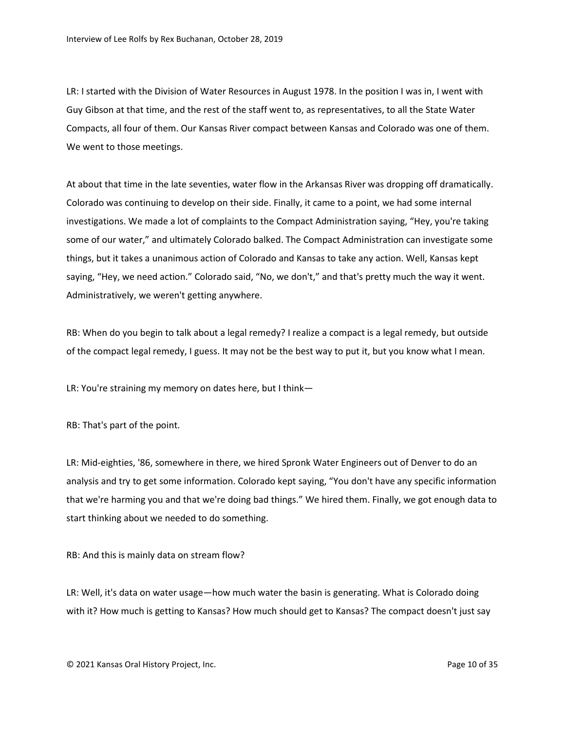LR: I started with the Division of Water Resources in August 1978. In the position I was in, I went with Guy Gibson at that time, and the rest of the staff went to, as representatives, to all the State Water Compacts, all four of them. Our Kansas River compact between Kansas and Colorado was one of them. We went to those meetings.

At about that time in the late seventies, water flow in the Arkansas River was dropping off dramatically. Colorado was continuing to develop on their side. Finally, it came to a point, we had some internal investigations. We made a lot of complaints to the Compact Administration saying, "Hey, you're taking some of our water," and ultimately Colorado balked. The Compact Administration can investigate some things, but it takes a unanimous action of Colorado and Kansas to take any action. Well, Kansas kept saying, "Hey, we need action." Colorado said, "No, we don't," and that's pretty much the way it went. Administratively, we weren't getting anywhere.

RB: When do you begin to talk about a legal remedy? I realize a compact is a legal remedy, but outside of the compact legal remedy, I guess. It may not be the best way to put it, but you know what I mean.

LR: You're straining my memory on dates here, but I think—

RB: That's part of the point.

LR: Mid-eighties, '86, somewhere in there, we hired Spronk Water Engineers out of Denver to do an analysis and try to get some information. Colorado kept saying, "You don't have any specific information that we're harming you and that we're doing bad things." We hired them. Finally, we got enough data to start thinking about we needed to do something.

RB: And this is mainly data on stream flow?

LR: Well, it's data on water usage—how much water the basin is generating. What is Colorado doing with it? How much is getting to Kansas? How much should get to Kansas? The compact doesn't just say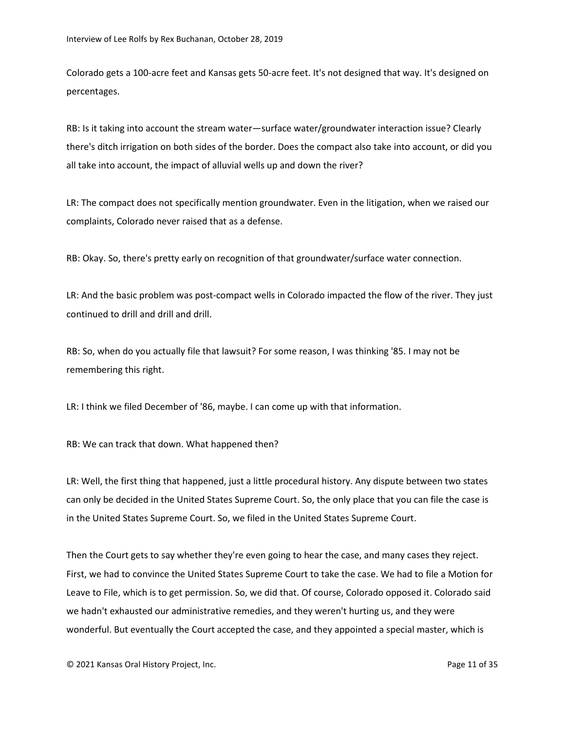Colorado gets a 100-acre feet and Kansas gets 50-acre feet. It's not designed that way. It's designed on percentages.

RB: Is it taking into account the stream water—surface water/groundwater interaction issue? Clearly there's ditch irrigation on both sides of the border. Does the compact also take into account, or did you all take into account, the impact of alluvial wells up and down the river?

LR: The compact does not specifically mention groundwater. Even in the litigation, when we raised our complaints, Colorado never raised that as a defense.

RB: Okay. So, there's pretty early on recognition of that groundwater/surface water connection.

LR: And the basic problem was post-compact wells in Colorado impacted the flow of the river. They just continued to drill and drill and drill.

RB: So, when do you actually file that lawsuit? For some reason, I was thinking '85. I may not be remembering this right.

LR: I think we filed December of '86, maybe. I can come up with that information.

RB: We can track that down. What happened then?

LR: Well, the first thing that happened, just a little procedural history. Any dispute between two states can only be decided in the United States Supreme Court. So, the only place that you can file the case is in the United States Supreme Court. So, we filed in the United States Supreme Court.

Then the Court gets to say whether they're even going to hear the case, and many cases they reject. First, we had to convince the United States Supreme Court to take the case. We had to file a Motion for Leave to File, which is to get permission. So, we did that. Of course, Colorado opposed it. Colorado said we hadn't exhausted our administrative remedies, and they weren't hurting us, and they were wonderful. But eventually the Court accepted the case, and they appointed a special master, which is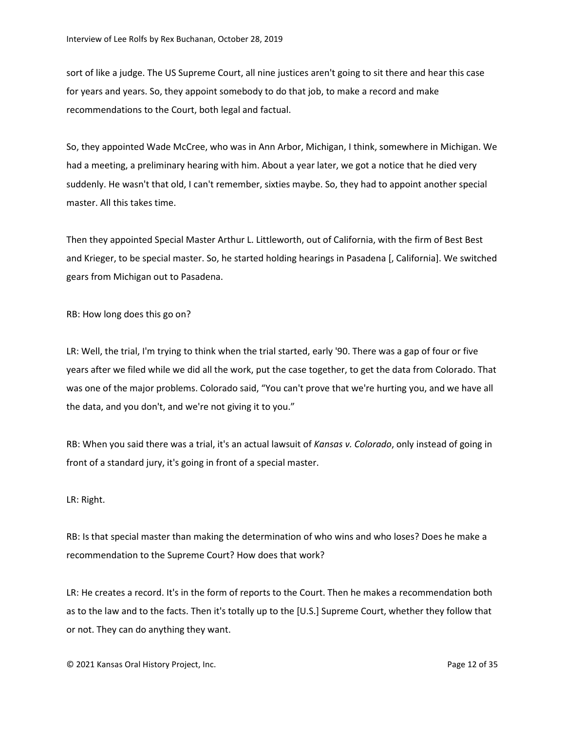sort of like a judge. The US Supreme Court, all nine justices aren't going to sit there and hear this case for years and years. So, they appoint somebody to do that job, to make a record and make recommendations to the Court, both legal and factual.

So, they appointed Wade McCree, who was in Ann Arbor, Michigan, I think, somewhere in Michigan. We had a meeting, a preliminary hearing with him. About a year later, we got a notice that he died very suddenly. He wasn't that old, I can't remember, sixties maybe. So, they had to appoint another special master. All this takes time.

Then they appointed Special Master Arthur L. Littleworth, out of California, with the firm of Best Best and Krieger, to be special master. So, he started holding hearings in Pasadena [, California]. We switched gears from Michigan out to Pasadena.

RB: How long does this go on?

LR: Well, the trial, I'm trying to think when the trial started, early '90. There was a gap of four or five years after we filed while we did all the work, put the case together, to get the data from Colorado. That was one of the major problems. Colorado said, "You can't prove that we're hurting you, and we have all the data, and you don't, and we're not giving it to you."

RB: When you said there was a trial, it's an actual lawsuit of *Kansas v. Colorado*, only instead of going in front of a standard jury, it's going in front of a special master.

## LR: Right.

RB: Is that special master than making the determination of who wins and who loses? Does he make a recommendation to the Supreme Court? How does that work?

LR: He creates a record. It's in the form of reports to the Court. Then he makes a recommendation both as to the law and to the facts. Then it's totally up to the [U.S.] Supreme Court, whether they follow that or not. They can do anything they want.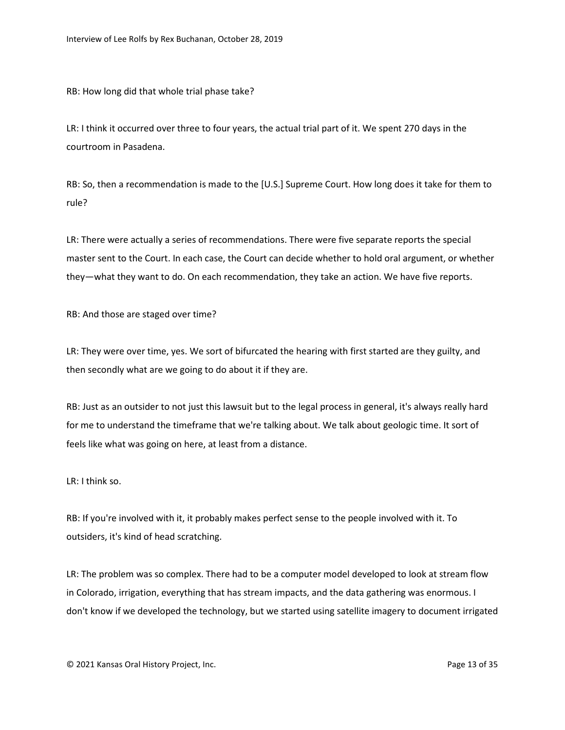RB: How long did that whole trial phase take?

LR: I think it occurred over three to four years, the actual trial part of it. We spent 270 days in the courtroom in Pasadena.

RB: So, then a recommendation is made to the [U.S.] Supreme Court. How long does it take for them to rule?

LR: There were actually a series of recommendations. There were five separate reports the special master sent to the Court. In each case, the Court can decide whether to hold oral argument, or whether they—what they want to do. On each recommendation, they take an action. We have five reports.

RB: And those are staged over time?

LR: They were over time, yes. We sort of bifurcated the hearing with first started are they guilty, and then secondly what are we going to do about it if they are.

RB: Just as an outsider to not just this lawsuit but to the legal process in general, it's always really hard for me to understand the timeframe that we're talking about. We talk about geologic time. It sort of feels like what was going on here, at least from a distance.

LR: I think so.

RB: If you're involved with it, it probably makes perfect sense to the people involved with it. To outsiders, it's kind of head scratching.

LR: The problem was so complex. There had to be a computer model developed to look at stream flow in Colorado, irrigation, everything that has stream impacts, and the data gathering was enormous. I don't know if we developed the technology, but we started using satellite imagery to document irrigated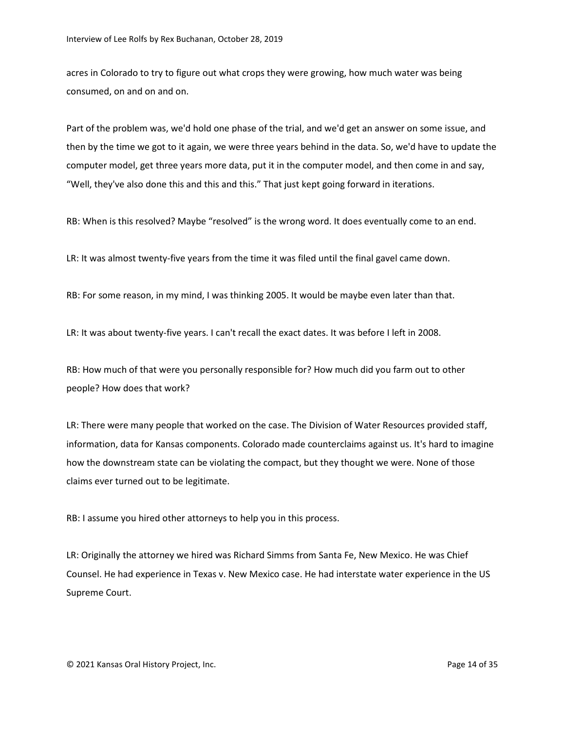acres in Colorado to try to figure out what crops they were growing, how much water was being consumed, on and on and on.

Part of the problem was, we'd hold one phase of the trial, and we'd get an answer on some issue, and then by the time we got to it again, we were three years behind in the data. So, we'd have to update the computer model, get three years more data, put it in the computer model, and then come in and say, "Well, they've also done this and this and this." That just kept going forward in iterations.

RB: When is this resolved? Maybe "resolved" is the wrong word. It does eventually come to an end.

LR: It was almost twenty-five years from the time it was filed until the final gavel came down.

RB: For some reason, in my mind, I was thinking 2005. It would be maybe even later than that.

LR: It was about twenty-five years. I can't recall the exact dates. It was before I left in 2008.

RB: How much of that were you personally responsible for? How much did you farm out to other people? How does that work?

LR: There were many people that worked on the case. The Division of Water Resources provided staff, information, data for Kansas components. Colorado made counterclaims against us. It's hard to imagine how the downstream state can be violating the compact, but they thought we were. None of those claims ever turned out to be legitimate.

RB: I assume you hired other attorneys to help you in this process.

LR: Originally the attorney we hired was Richard Simms from Santa Fe, New Mexico. He was Chief Counsel. He had experience in Texas v. New Mexico case. He had interstate water experience in the US Supreme Court.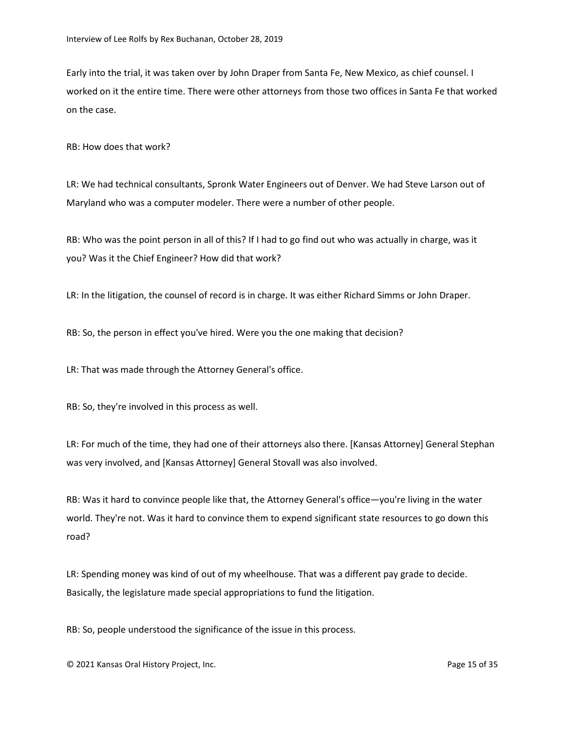Early into the trial, it was taken over by John Draper from Santa Fe, New Mexico, as chief counsel. I worked on it the entire time. There were other attorneys from those two offices in Santa Fe that worked on the case.

RB: How does that work?

LR: We had technical consultants, Spronk Water Engineers out of Denver. We had Steve Larson out of Maryland who was a computer modeler. There were a number of other people.

RB: Who was the point person in all of this? If I had to go find out who was actually in charge, was it you? Was it the Chief Engineer? How did that work?

LR: In the litigation, the counsel of record is in charge. It was either Richard Simms or John Draper.

RB: So, the person in effect you've hired. Were you the one making that decision?

LR: That was made through the Attorney General's office.

RB: So, they're involved in this process as well.

LR: For much of the time, they had one of their attorneys also there. [Kansas Attorney] General Stephan was very involved, and [Kansas Attorney] General Stovall was also involved.

RB: Was it hard to convince people like that, the Attorney General's office—you're living in the water world. They're not. Was it hard to convince them to expend significant state resources to go down this road?

LR: Spending money was kind of out of my wheelhouse. That was a different pay grade to decide. Basically, the legislature made special appropriations to fund the litigation.

RB: So, people understood the significance of the issue in this process.

© 2021 Kansas Oral History Project, Inc. Page 15 of 35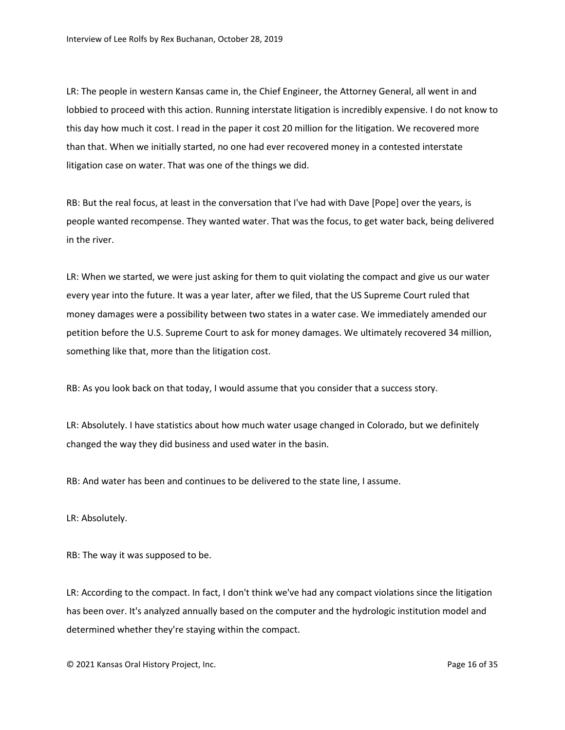LR: The people in western Kansas came in, the Chief Engineer, the Attorney General, all went in and lobbied to proceed with this action. Running interstate litigation is incredibly expensive. I do not know to this day how much it cost. I read in the paper it cost 20 million for the litigation. We recovered more than that. When we initially started, no one had ever recovered money in a contested interstate litigation case on water. That was one of the things we did.

RB: But the real focus, at least in the conversation that I've had with Dave [Pope] over the years, is people wanted recompense. They wanted water. That was the focus, to get water back, being delivered in the river.

LR: When we started, we were just asking for them to quit violating the compact and give us our water every year into the future. It was a year later, after we filed, that the US Supreme Court ruled that money damages were a possibility between two states in a water case. We immediately amended our petition before the U.S. Supreme Court to ask for money damages. We ultimately recovered 34 million, something like that, more than the litigation cost.

RB: As you look back on that today, I would assume that you consider that a success story.

LR: Absolutely. I have statistics about how much water usage changed in Colorado, but we definitely changed the way they did business and used water in the basin.

RB: And water has been and continues to be delivered to the state line, I assume.

LR: Absolutely.

RB: The way it was supposed to be.

LR: According to the compact. In fact, I don't think we've had any compact violations since the litigation has been over. It's analyzed annually based on the computer and the hydrologic institution model and determined whether they're staying within the compact.

© 2021 Kansas Oral History Project, Inc. Page 16 of 35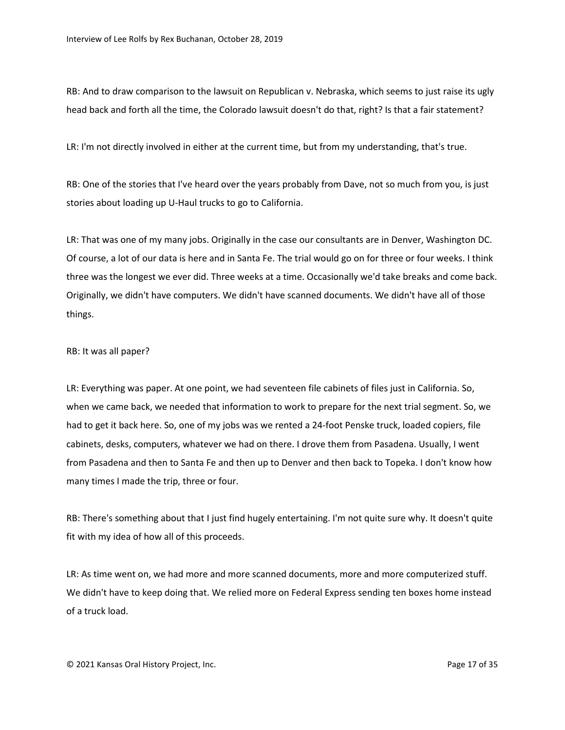RB: And to draw comparison to the lawsuit on Republican v. Nebraska, which seems to just raise its ugly head back and forth all the time, the Colorado lawsuit doesn't do that, right? Is that a fair statement?

LR: I'm not directly involved in either at the current time, but from my understanding, that's true.

RB: One of the stories that I've heard over the years probably from Dave, not so much from you, is just stories about loading up U-Haul trucks to go to California.

LR: That was one of my many jobs. Originally in the case our consultants are in Denver, Washington DC. Of course, a lot of our data is here and in Santa Fe. The trial would go on for three or four weeks. I think three was the longest we ever did. Three weeks at a time. Occasionally we'd take breaks and come back. Originally, we didn't have computers. We didn't have scanned documents. We didn't have all of those things.

## RB: It was all paper?

LR: Everything was paper. At one point, we had seventeen file cabinets of files just in California. So, when we came back, we needed that information to work to prepare for the next trial segment. So, we had to get it back here. So, one of my jobs was we rented a 24-foot Penske truck, loaded copiers, file cabinets, desks, computers, whatever we had on there. I drove them from Pasadena. Usually, I went from Pasadena and then to Santa Fe and then up to Denver and then back to Topeka. I don't know how many times I made the trip, three or four.

RB: There's something about that I just find hugely entertaining. I'm not quite sure why. It doesn't quite fit with my idea of how all of this proceeds.

LR: As time went on, we had more and more scanned documents, more and more computerized stuff. We didn't have to keep doing that. We relied more on Federal Express sending ten boxes home instead of a truck load.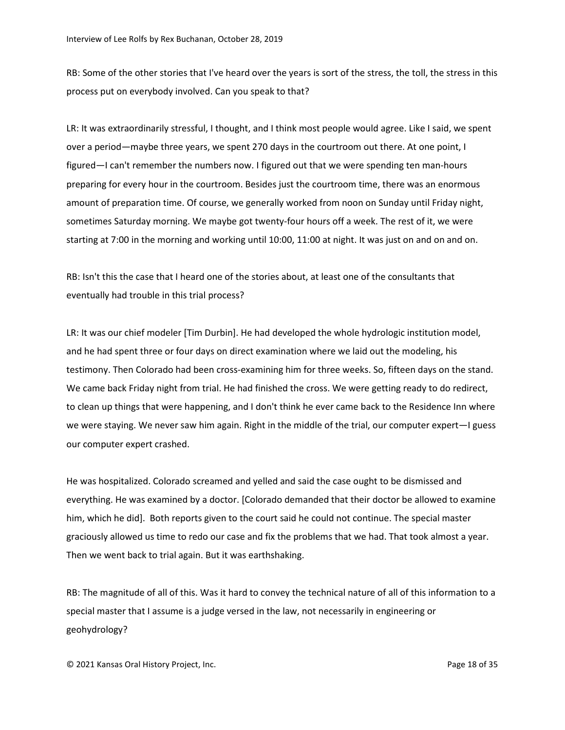RB: Some of the other stories that I've heard over the years is sort of the stress, the toll, the stress in this process put on everybody involved. Can you speak to that?

LR: It was extraordinarily stressful, I thought, and I think most people would agree. Like I said, we spent over a period—maybe three years, we spent 270 days in the courtroom out there. At one point, I figured—I can't remember the numbers now. I figured out that we were spending ten man-hours preparing for every hour in the courtroom. Besides just the courtroom time, there was an enormous amount of preparation time. Of course, we generally worked from noon on Sunday until Friday night, sometimes Saturday morning. We maybe got twenty-four hours off a week. The rest of it, we were starting at 7:00 in the morning and working until 10:00, 11:00 at night. It was just on and on and on.

RB: Isn't this the case that I heard one of the stories about, at least one of the consultants that eventually had trouble in this trial process?

LR: It was our chief modeler [Tim Durbin]. He had developed the whole hydrologic institution model, and he had spent three or four days on direct examination where we laid out the modeling, his testimony. Then Colorado had been cross-examining him for three weeks. So, fifteen days on the stand. We came back Friday night from trial. He had finished the cross. We were getting ready to do redirect, to clean up things that were happening, and I don't think he ever came back to the Residence Inn where we were staying. We never saw him again. Right in the middle of the trial, our computer expert—I guess our computer expert crashed.

He was hospitalized. Colorado screamed and yelled and said the case ought to be dismissed and everything. He was examined by a doctor. [Colorado demanded that their doctor be allowed to examine him, which he did]. Both reports given to the court said he could not continue. The special master graciously allowed us time to redo our case and fix the problems that we had. That took almost a year. Then we went back to trial again. But it was earthshaking.

RB: The magnitude of all of this. Was it hard to convey the technical nature of all of this information to a special master that I assume is a judge versed in the law, not necessarily in engineering or geohydrology?

© 2021 Kansas Oral History Project, Inc. Page 18 of 35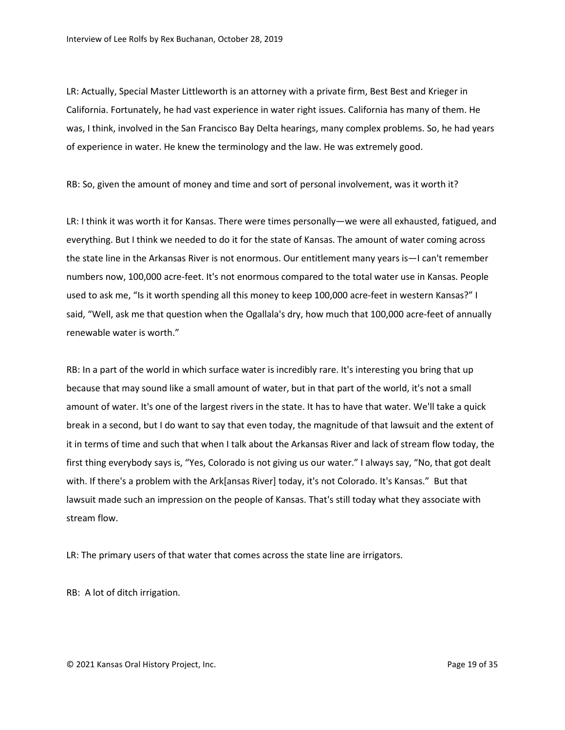LR: Actually, Special Master Littleworth is an attorney with a private firm, Best Best and Krieger in California. Fortunately, he had vast experience in water right issues. California has many of them. He was, I think, involved in the San Francisco Bay Delta hearings, many complex problems. So, he had years of experience in water. He knew the terminology and the law. He was extremely good.

RB: So, given the amount of money and time and sort of personal involvement, was it worth it?

LR: I think it was worth it for Kansas. There were times personally—we were all exhausted, fatigued, and everything. But I think we needed to do it for the state of Kansas. The amount of water coming across the state line in the Arkansas River is not enormous. Our entitlement many years is—I can't remember numbers now, 100,000 acre-feet. It's not enormous compared to the total water use in Kansas. People used to ask me, "Is it worth spending all this money to keep 100,000 acre-feet in western Kansas?" I said, "Well, ask me that question when the Ogallala's dry, how much that 100,000 acre-feet of annually renewable water is worth."

RB: In a part of the world in which surface water is incredibly rare. It's interesting you bring that up because that may sound like a small amount of water, but in that part of the world, it's not a small amount of water. It's one of the largest rivers in the state. It has to have that water. We'll take a quick break in a second, but I do want to say that even today, the magnitude of that lawsuit and the extent of it in terms of time and such that when I talk about the Arkansas River and lack of stream flow today, the first thing everybody says is, "Yes, Colorado is not giving us our water." I always say, "No, that got dealt with. If there's a problem with the Ark[ansas River] today, it's not Colorado. It's Kansas." But that lawsuit made such an impression on the people of Kansas. That's still today what they associate with stream flow.

LR: The primary users of that water that comes across the state line are irrigators.

RB: A lot of ditch irrigation.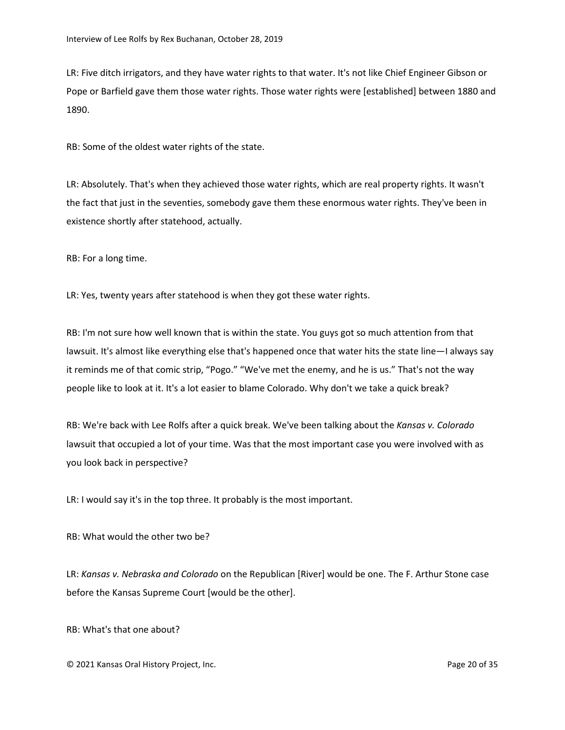LR: Five ditch irrigators, and they have water rights to that water. It's not like Chief Engineer Gibson or Pope or Barfield gave them those water rights. Those water rights were [established] between 1880 and 1890.

RB: Some of the oldest water rights of the state.

LR: Absolutely. That's when they achieved those water rights, which are real property rights. It wasn't the fact that just in the seventies, somebody gave them these enormous water rights. They've been in existence shortly after statehood, actually.

RB: For a long time.

LR: Yes, twenty years after statehood is when they got these water rights.

RB: I'm not sure how well known that is within the state. You guys got so much attention from that lawsuit. It's almost like everything else that's happened once that water hits the state line—I always say it reminds me of that comic strip, "Pogo." "We've met the enemy, and he is us." That's not the way people like to look at it. It's a lot easier to blame Colorado. Why don't we take a quick break?

RB: We're back with Lee Rolfs after a quick break. We've been talking about the *Kansas v. Colorado* lawsuit that occupied a lot of your time. Was that the most important case you were involved with as you look back in perspective?

LR: I would say it's in the top three. It probably is the most important.

RB: What would the other two be?

LR: *Kansas v. Nebraska and Colorado* on the Republican [River] would be one. The F. Arthur Stone case before the Kansas Supreme Court [would be the other].

RB: What's that one about?

© 2021 Kansas Oral History Project, Inc. Page 20 of 35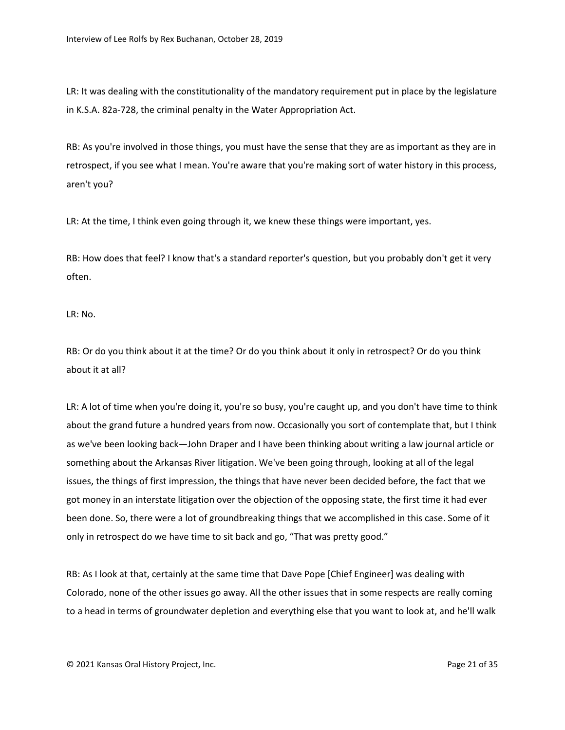LR: It was dealing with the constitutionality of the mandatory requirement put in place by the legislature in K.S.A. 82a-728, the criminal penalty in the Water Appropriation Act.

RB: As you're involved in those things, you must have the sense that they are as important as they are in retrospect, if you see what I mean. You're aware that you're making sort of water history in this process, aren't you?

LR: At the time, I think even going through it, we knew these things were important, yes.

RB: How does that feel? I know that's a standard reporter's question, but you probably don't get it very often.

LR: No.

RB: Or do you think about it at the time? Or do you think about it only in retrospect? Or do you think about it at all?

LR: A lot of time when you're doing it, you're so busy, you're caught up, and you don't have time to think about the grand future a hundred years from now. Occasionally you sort of contemplate that, but I think as we've been looking back—John Draper and I have been thinking about writing a law journal article or something about the Arkansas River litigation. We've been going through, looking at all of the legal issues, the things of first impression, the things that have never been decided before, the fact that we got money in an interstate litigation over the objection of the opposing state, the first time it had ever been done. So, there were a lot of groundbreaking things that we accomplished in this case. Some of it only in retrospect do we have time to sit back and go, "That was pretty good."

RB: As I look at that, certainly at the same time that Dave Pope [Chief Engineer] was dealing with Colorado, none of the other issues go away. All the other issues that in some respects are really coming to a head in terms of groundwater depletion and everything else that you want to look at, and he'll walk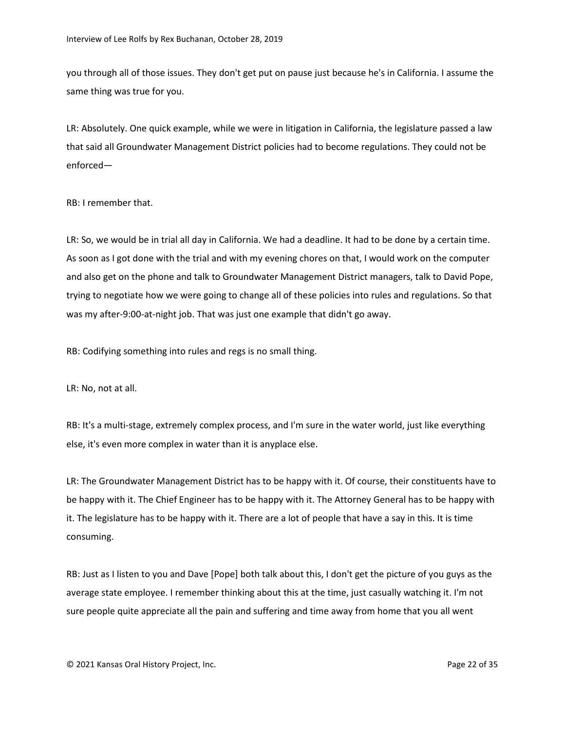you through all of those issues. They don't get put on pause just because he's in California. I assume the same thing was true for you.

LR: Absolutely. One quick example, while we were in litigation in California, the legislature passed a law that said all Groundwater Management District policies had to become regulations. They could not be enforced—

RB: I remember that.

LR: So, we would be in trial all day in California. We had a deadline. It had to be done by a certain time. As soon as I got done with the trial and with my evening chores on that, I would work on the computer and also get on the phone and talk to Groundwater Management District managers, talk to David Pope, trying to negotiate how we were going to change all of these policies into rules and regulations. So that was my after-9:00-at-night job. That was just one example that didn't go away.

RB: Codifying something into rules and regs is no small thing.

LR: No, not at all.

RB: It's a multi-stage, extremely complex process, and I'm sure in the water world, just like everything else, it's even more complex in water than it is anyplace else.

LR: The Groundwater Management District has to be happy with it. Of course, their constituents have to be happy with it. The Chief Engineer has to be happy with it. The Attorney General has to be happy with it. The legislature has to be happy with it. There are a lot of people that have a say in this. It is time consuming.

RB: Just as I listen to you and Dave [Pope] both talk about this, I don't get the picture of you guys as the average state employee. I remember thinking about this at the time, just casually watching it. I'm not sure people quite appreciate all the pain and suffering and time away from home that you all went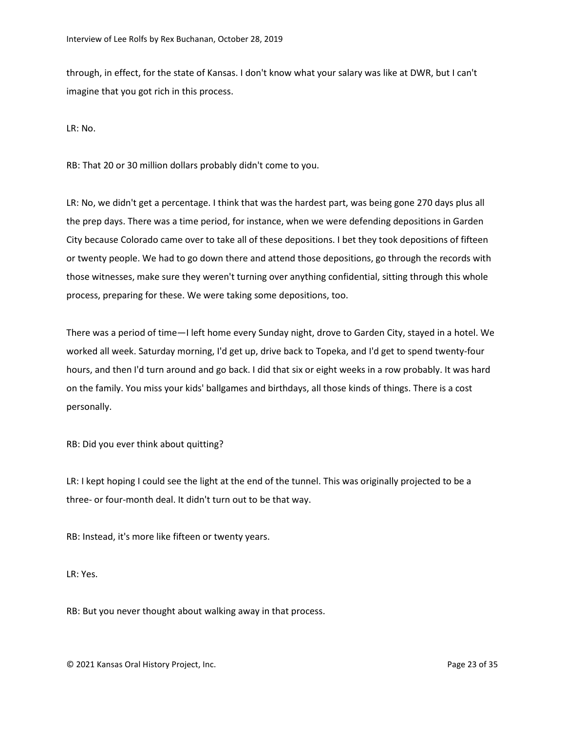through, in effect, for the state of Kansas. I don't know what your salary was like at DWR, but I can't imagine that you got rich in this process.

LR: No.

RB: That 20 or 30 million dollars probably didn't come to you.

LR: No, we didn't get a percentage. I think that was the hardest part, was being gone 270 days plus all the prep days. There was a time period, for instance, when we were defending depositions in Garden City because Colorado came over to take all of these depositions. I bet they took depositions of fifteen or twenty people. We had to go down there and attend those depositions, go through the records with those witnesses, make sure they weren't turning over anything confidential, sitting through this whole process, preparing for these. We were taking some depositions, too.

There was a period of time—I left home every Sunday night, drove to Garden City, stayed in a hotel. We worked all week. Saturday morning, I'd get up, drive back to Topeka, and I'd get to spend twenty-four hours, and then I'd turn around and go back. I did that six or eight weeks in a row probably. It was hard on the family. You miss your kids' ballgames and birthdays, all those kinds of things. There is a cost personally.

RB: Did you ever think about quitting?

LR: I kept hoping I could see the light at the end of the tunnel. This was originally projected to be a three- or four-month deal. It didn't turn out to be that way.

RB: Instead, it's more like fifteen or twenty years.

LR: Yes.

RB: But you never thought about walking away in that process.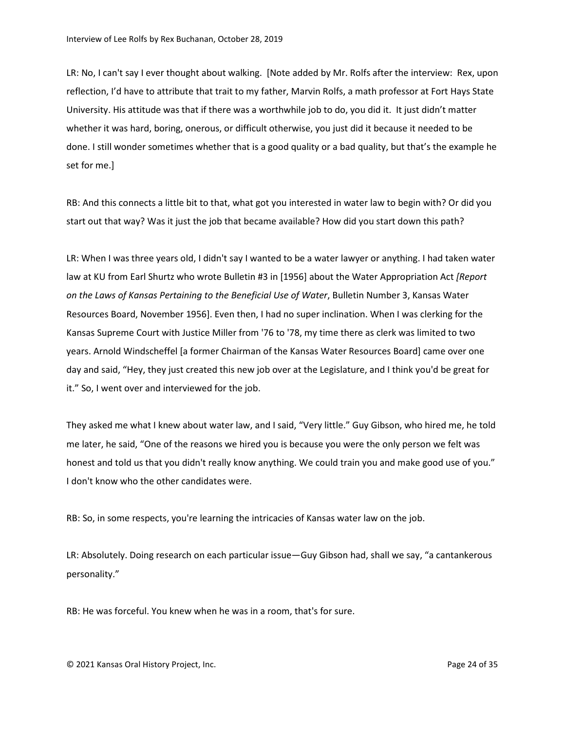LR: No, I can't say I ever thought about walking. [Note added by Mr. Rolfs after the interview: Rex, upon reflection, I'd have to attribute that trait to my father, Marvin Rolfs, a math professor at Fort Hays State University. His attitude was that if there was a worthwhile job to do, you did it. It just didn't matter whether it was hard, boring, onerous, or difficult otherwise, you just did it because it needed to be done. I still wonder sometimes whether that is a good quality or a bad quality, but that's the example he set for me.]

RB: And this connects a little bit to that, what got you interested in water law to begin with? Or did you start out that way? Was it just the job that became available? How did you start down this path?

LR: When I was three years old, I didn't say I wanted to be a water lawyer or anything. I had taken water law at KU from Earl Shurtz who wrote Bulletin #3 in [1956] about the Water Appropriation Act *[Report on the Laws of Kansas Pertaining to the Beneficial Use of Water*, Bulletin Number 3, Kansas Water Resources Board, November 1956]. Even then, I had no super inclination. When I was clerking for the Kansas Supreme Court with Justice Miller from '76 to '78, my time there as clerk was limited to two years. Arnold Windscheffel [a former Chairman of the Kansas Water Resources Board] came over one day and said, "Hey, they just created this new job over at the Legislature, and I think you'd be great for it." So, I went over and interviewed for the job.

They asked me what I knew about water law, and I said, "Very little." Guy Gibson, who hired me, he told me later, he said, "One of the reasons we hired you is because you were the only person we felt was honest and told us that you didn't really know anything. We could train you and make good use of you." I don't know who the other candidates were.

RB: So, in some respects, you're learning the intricacies of Kansas water law on the job.

LR: Absolutely. Doing research on each particular issue—Guy Gibson had, shall we say, "a cantankerous personality."

RB: He was forceful. You knew when he was in a room, that's for sure.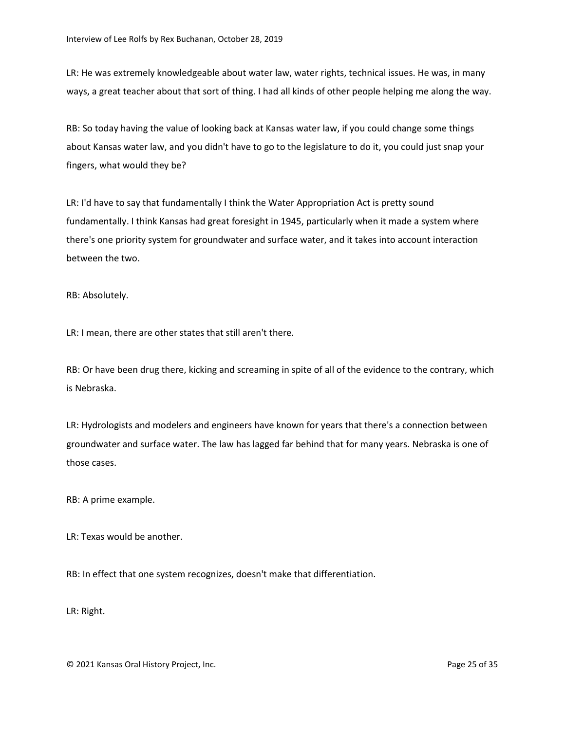LR: He was extremely knowledgeable about water law, water rights, technical issues. He was, in many ways, a great teacher about that sort of thing. I had all kinds of other people helping me along the way.

RB: So today having the value of looking back at Kansas water law, if you could change some things about Kansas water law, and you didn't have to go to the legislature to do it, you could just snap your fingers, what would they be?

LR: I'd have to say that fundamentally I think the Water Appropriation Act is pretty sound fundamentally. I think Kansas had great foresight in 1945, particularly when it made a system where there's one priority system for groundwater and surface water, and it takes into account interaction between the two.

RB: Absolutely.

LR: I mean, there are other states that still aren't there.

RB: Or have been drug there, kicking and screaming in spite of all of the evidence to the contrary, which is Nebraska.

LR: Hydrologists and modelers and engineers have known for years that there's a connection between groundwater and surface water. The law has lagged far behind that for many years. Nebraska is one of those cases.

RB: A prime example.

LR: Texas would be another.

RB: In effect that one system recognizes, doesn't make that differentiation.

LR: Right.

© 2021 Kansas Oral History Project, Inc. Page 25 of 35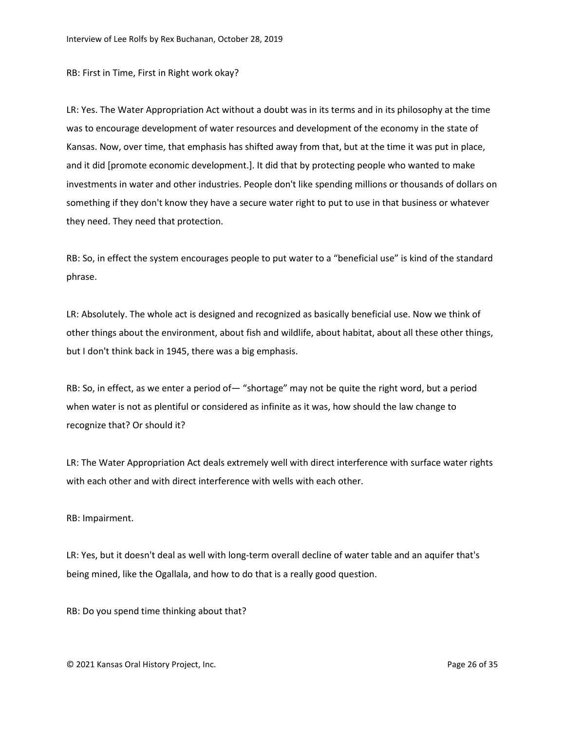RB: First in Time, First in Right work okay?

LR: Yes. The Water Appropriation Act without a doubt was in its terms and in its philosophy at the time was to encourage development of water resources and development of the economy in the state of Kansas. Now, over time, that emphasis has shifted away from that, but at the time it was put in place, and it did [promote economic development.]. It did that by protecting people who wanted to make investments in water and other industries. People don't like spending millions or thousands of dollars on something if they don't know they have a secure water right to put to use in that business or whatever they need. They need that protection.

RB: So, in effect the system encourages people to put water to a "beneficial use" is kind of the standard phrase.

LR: Absolutely. The whole act is designed and recognized as basically beneficial use. Now we think of other things about the environment, about fish and wildlife, about habitat, about all these other things, but I don't think back in 1945, there was a big emphasis.

RB: So, in effect, as we enter a period of— "shortage" may not be quite the right word, but a period when water is not as plentiful or considered as infinite as it was, how should the law change to recognize that? Or should it?

LR: The Water Appropriation Act deals extremely well with direct interference with surface water rights with each other and with direct interference with wells with each other.

## RB: Impairment.

LR: Yes, but it doesn't deal as well with long-term overall decline of water table and an aquifer that's being mined, like the Ogallala, and how to do that is a really good question.

RB: Do you spend time thinking about that?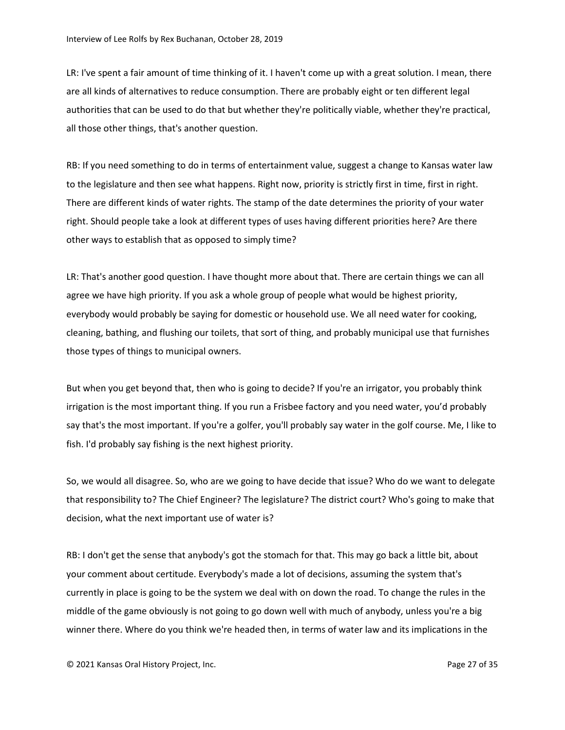LR: I've spent a fair amount of time thinking of it. I haven't come up with a great solution. I mean, there are all kinds of alternatives to reduce consumption. There are probably eight or ten different legal authorities that can be used to do that but whether they're politically viable, whether they're practical, all those other things, that's another question.

RB: If you need something to do in terms of entertainment value, suggest a change to Kansas water law to the legislature and then see what happens. Right now, priority is strictly first in time, first in right. There are different kinds of water rights. The stamp of the date determines the priority of your water right. Should people take a look at different types of uses having different priorities here? Are there other ways to establish that as opposed to simply time?

LR: That's another good question. I have thought more about that. There are certain things we can all agree we have high priority. If you ask a whole group of people what would be highest priority, everybody would probably be saying for domestic or household use. We all need water for cooking, cleaning, bathing, and flushing our toilets, that sort of thing, and probably municipal use that furnishes those types of things to municipal owners.

But when you get beyond that, then who is going to decide? If you're an irrigator, you probably think irrigation is the most important thing. If you run a Frisbee factory and you need water, you'd probably say that's the most important. If you're a golfer, you'll probably say water in the golf course. Me, I like to fish. I'd probably say fishing is the next highest priority.

So, we would all disagree. So, who are we going to have decide that issue? Who do we want to delegate that responsibility to? The Chief Engineer? The legislature? The district court? Who's going to make that decision, what the next important use of water is?

RB: I don't get the sense that anybody's got the stomach for that. This may go back a little bit, about your comment about certitude. Everybody's made a lot of decisions, assuming the system that's currently in place is going to be the system we deal with on down the road. To change the rules in the middle of the game obviously is not going to go down well with much of anybody, unless you're a big winner there. Where do you think we're headed then, in terms of water law and its implications in the

© 2021 Kansas Oral History Project, Inc. Page 27 of 35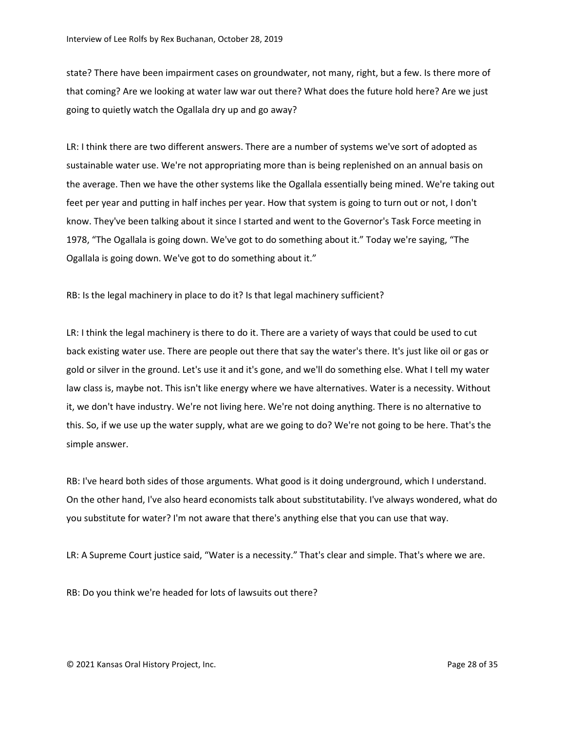state? There have been impairment cases on groundwater, not many, right, but a few. Is there more of that coming? Are we looking at water law war out there? What does the future hold here? Are we just going to quietly watch the Ogallala dry up and go away?

LR: I think there are two different answers. There are a number of systems we've sort of adopted as sustainable water use. We're not appropriating more than is being replenished on an annual basis on the average. Then we have the other systems like the Ogallala essentially being mined. We're taking out feet per year and putting in half inches per year. How that system is going to turn out or not, I don't know. They've been talking about it since I started and went to the Governor's Task Force meeting in 1978, "The Ogallala is going down. We've got to do something about it." Today we're saying, "The Ogallala is going down. We've got to do something about it."

RB: Is the legal machinery in place to do it? Is that legal machinery sufficient?

LR: I think the legal machinery is there to do it. There are a variety of ways that could be used to cut back existing water use. There are people out there that say the water's there. It's just like oil or gas or gold or silver in the ground. Let's use it and it's gone, and we'll do something else. What I tell my water law class is, maybe not. This isn't like energy where we have alternatives. Water is a necessity. Without it, we don't have industry. We're not living here. We're not doing anything. There is no alternative to this. So, if we use up the water supply, what are we going to do? We're not going to be here. That's the simple answer.

RB: I've heard both sides of those arguments. What good is it doing underground, which I understand. On the other hand, I've also heard economists talk about substitutability. I've always wondered, what do you substitute for water? I'm not aware that there's anything else that you can use that way.

LR: A Supreme Court justice said, "Water is a necessity." That's clear and simple. That's where we are.

RB: Do you think we're headed for lots of lawsuits out there?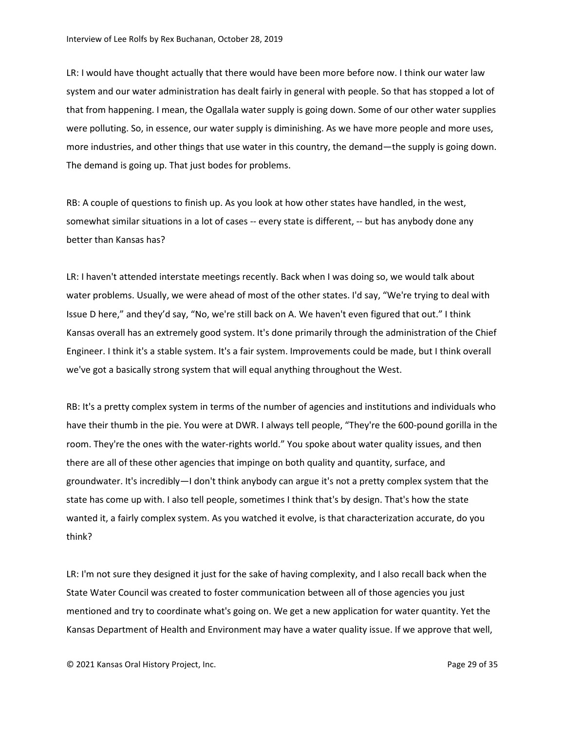LR: I would have thought actually that there would have been more before now. I think our water law system and our water administration has dealt fairly in general with people. So that has stopped a lot of that from happening. I mean, the Ogallala water supply is going down. Some of our other water supplies were polluting. So, in essence, our water supply is diminishing. As we have more people and more uses, more industries, and other things that use water in this country, the demand—the supply is going down. The demand is going up. That just bodes for problems.

RB: A couple of questions to finish up. As you look at how other states have handled, in the west, somewhat similar situations in a lot of cases -- every state is different, -- but has anybody done any better than Kansas has?

LR: I haven't attended interstate meetings recently. Back when I was doing so, we would talk about water problems. Usually, we were ahead of most of the other states. I'd say, "We're trying to deal with Issue D here," and they'd say, "No, we're still back on A. We haven't even figured that out." I think Kansas overall has an extremely good system. It's done primarily through the administration of the Chief Engineer. I think it's a stable system. It's a fair system. Improvements could be made, but I think overall we've got a basically strong system that will equal anything throughout the West.

RB: It's a pretty complex system in terms of the number of agencies and institutions and individuals who have their thumb in the pie. You were at DWR. I always tell people, "They're the 600-pound gorilla in the room. They're the ones with the water-rights world." You spoke about water quality issues, and then there are all of these other agencies that impinge on both quality and quantity, surface, and groundwater. It's incredibly—I don't think anybody can argue it's not a pretty complex system that the state has come up with. I also tell people, sometimes I think that's by design. That's how the state wanted it, a fairly complex system. As you watched it evolve, is that characterization accurate, do you think?

LR: I'm not sure they designed it just for the sake of having complexity, and I also recall back when the State Water Council was created to foster communication between all of those agencies you just mentioned and try to coordinate what's going on. We get a new application for water quantity. Yet the Kansas Department of Health and Environment may have a water quality issue. If we approve that well,

© 2021 Kansas Oral History Project, Inc. Page 29 of 35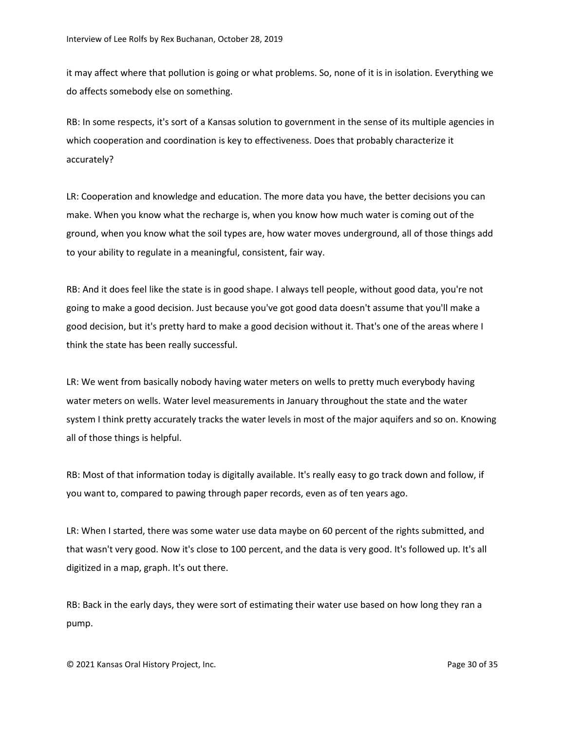it may affect where that pollution is going or what problems. So, none of it is in isolation. Everything we do affects somebody else on something.

RB: In some respects, it's sort of a Kansas solution to government in the sense of its multiple agencies in which cooperation and coordination is key to effectiveness. Does that probably characterize it accurately?

LR: Cooperation and knowledge and education. The more data you have, the better decisions you can make. When you know what the recharge is, when you know how much water is coming out of the ground, when you know what the soil types are, how water moves underground, all of those things add to your ability to regulate in a meaningful, consistent, fair way.

RB: And it does feel like the state is in good shape. I always tell people, without good data, you're not going to make a good decision. Just because you've got good data doesn't assume that you'll make a good decision, but it's pretty hard to make a good decision without it. That's one of the areas where I think the state has been really successful.

LR: We went from basically nobody having water meters on wells to pretty much everybody having water meters on wells. Water level measurements in January throughout the state and the water system I think pretty accurately tracks the water levels in most of the major aquifers and so on. Knowing all of those things is helpful.

RB: Most of that information today is digitally available. It's really easy to go track down and follow, if you want to, compared to pawing through paper records, even as of ten years ago.

LR: When I started, there was some water use data maybe on 60 percent of the rights submitted, and that wasn't very good. Now it's close to 100 percent, and the data is very good. It's followed up. It's all digitized in a map, graph. It's out there.

RB: Back in the early days, they were sort of estimating their water use based on how long they ran a pump.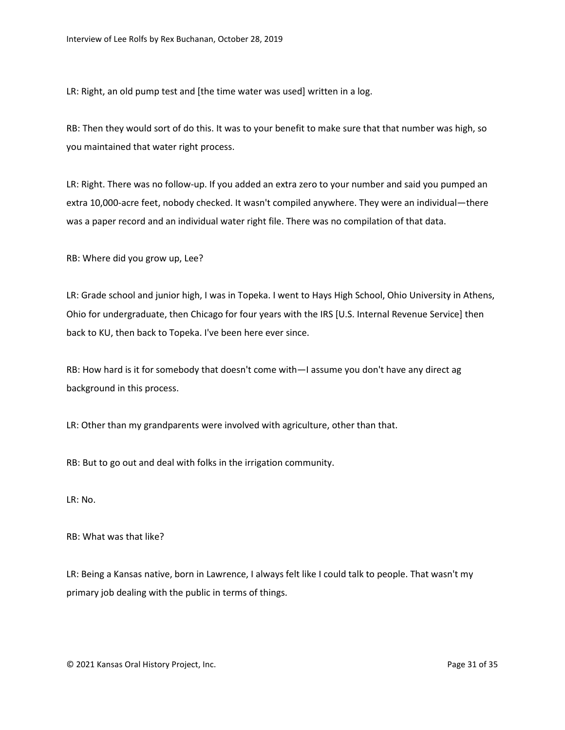LR: Right, an old pump test and [the time water was used] written in a log.

RB: Then they would sort of do this. It was to your benefit to make sure that that number was high, so you maintained that water right process.

LR: Right. There was no follow-up. If you added an extra zero to your number and said you pumped an extra 10,000-acre feet, nobody checked. It wasn't compiled anywhere. They were an individual—there was a paper record and an individual water right file. There was no compilation of that data.

RB: Where did you grow up, Lee?

LR: Grade school and junior high, I was in Topeka. I went to Hays High School, Ohio University in Athens, Ohio for undergraduate, then Chicago for four years with the IRS [U.S. Internal Revenue Service] then back to KU, then back to Topeka. I've been here ever since.

RB: How hard is it for somebody that doesn't come with—I assume you don't have any direct ag background in this process.

LR: Other than my grandparents were involved with agriculture, other than that.

RB: But to go out and deal with folks in the irrigation community.

LR: No.

RB: What was that like?

LR: Being a Kansas native, born in Lawrence, I always felt like I could talk to people. That wasn't my primary job dealing with the public in terms of things.

© 2021 Kansas Oral History Project, Inc. Page 31 of 35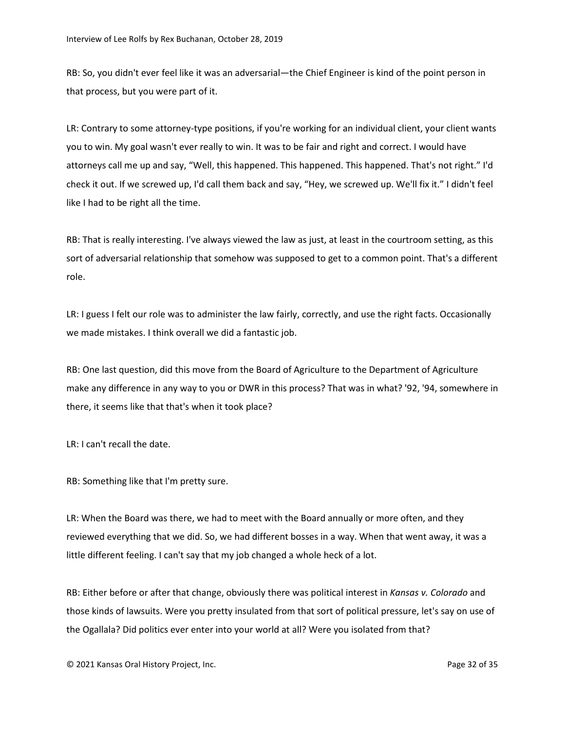RB: So, you didn't ever feel like it was an adversarial—the Chief Engineer is kind of the point person in that process, but you were part of it.

LR: Contrary to some attorney-type positions, if you're working for an individual client, your client wants you to win. My goal wasn't ever really to win. It was to be fair and right and correct. I would have attorneys call me up and say, "Well, this happened. This happened. This happened. That's not right." I'd check it out. If we screwed up, I'd call them back and say, "Hey, we screwed up. We'll fix it." I didn't feel like I had to be right all the time.

RB: That is really interesting. I've always viewed the law as just, at least in the courtroom setting, as this sort of adversarial relationship that somehow was supposed to get to a common point. That's a different role.

LR: I guess I felt our role was to administer the law fairly, correctly, and use the right facts. Occasionally we made mistakes. I think overall we did a fantastic job.

RB: One last question, did this move from the Board of Agriculture to the Department of Agriculture make any difference in any way to you or DWR in this process? That was in what? '92, '94, somewhere in there, it seems like that that's when it took place?

LR: I can't recall the date.

RB: Something like that I'm pretty sure.

LR: When the Board was there, we had to meet with the Board annually or more often, and they reviewed everything that we did. So, we had different bosses in a way. When that went away, it was a little different feeling. I can't say that my job changed a whole heck of a lot.

RB: Either before or after that change, obviously there was political interest in *Kansas v. Colorado* and those kinds of lawsuits. Were you pretty insulated from that sort of political pressure, let's say on use of the Ogallala? Did politics ever enter into your world at all? Were you isolated from that?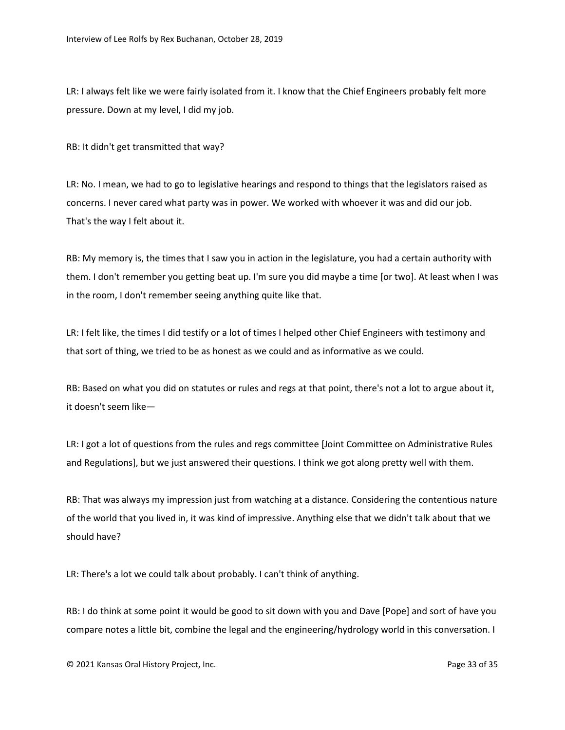LR: I always felt like we were fairly isolated from it. I know that the Chief Engineers probably felt more pressure. Down at my level, I did my job.

RB: It didn't get transmitted that way?

LR: No. I mean, we had to go to legislative hearings and respond to things that the legislators raised as concerns. I never cared what party was in power. We worked with whoever it was and did our job. That's the way I felt about it.

RB: My memory is, the times that I saw you in action in the legislature, you had a certain authority with them. I don't remember you getting beat up. I'm sure you did maybe a time [or two]. At least when I was in the room, I don't remember seeing anything quite like that.

LR: I felt like, the times I did testify or a lot of times I helped other Chief Engineers with testimony and that sort of thing, we tried to be as honest as we could and as informative as we could.

RB: Based on what you did on statutes or rules and regs at that point, there's not a lot to argue about it, it doesn't seem like—

LR: I got a lot of questions from the rules and regs committee [Joint Committee on Administrative Rules and Regulations], but we just answered their questions. I think we got along pretty well with them.

RB: That was always my impression just from watching at a distance. Considering the contentious nature of the world that you lived in, it was kind of impressive. Anything else that we didn't talk about that we should have?

LR: There's a lot we could talk about probably. I can't think of anything.

RB: I do think at some point it would be good to sit down with you and Dave [Pope] and sort of have you compare notes a little bit, combine the legal and the engineering/hydrology world in this conversation. I

© 2021 Kansas Oral History Project, Inc. Page 33 of 35